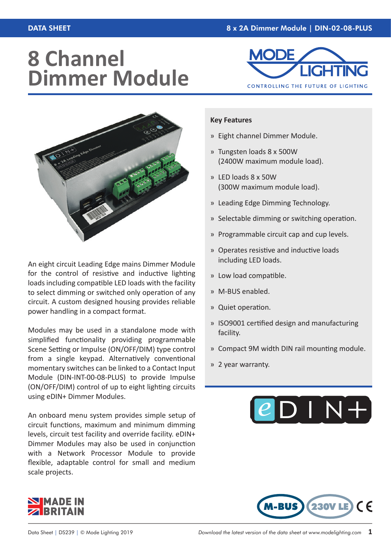## **8 Channel Dimmer Module**





An eight circuit Leading Edge mains Dimmer Module for the control of resistive and inductive lighting loads including compatible LED loads with the facility to select dimming or switched only operation of any circuit. A custom designed housing provides reliable power handling in a compact format.

Modules may be used in a standalone mode with simplified functionality providing programmable Scene Setting or Impulse (ON/OFF/DIM) type control from a single keypad. Alternatively conventional momentary switches can be linked to a Contact Input Module (DIN-INT-00-08-PLUS) to provide Impulse (ON/OFF/DIM) control of up to eight lighting circuits using eDIN+ Dimmer Modules.

An onboard menu system provides simple setup of circuit functions, maximum and minimum dimming levels, circuit test facility and override facility. eDIN+ Dimmer Modules may also be used in conjunction with a Network Processor Module to provide flexible, adaptable control for small and medium scale projects.

## **Key Features**

- » Eight channel Dimmer Module.
- » Tungsten loads 8 x 500W (2400W maximum module load).
- » LED loads 8 x 50W (300W maximum module load).
- » Leading Edge Dimming Technology.
- » Selectable dimming or switching operation.
- » Programmable circuit cap and cup levels.
- » Operates resistive and inductive loads including LED loads.
- » Low load compatible.
- » M-BUS enabled.
- » Quiet operation.
- » ISO9001 certified design and manufacturing facility.
- » Compact 9M width DIN rail mounting module.
- » 2 year warranty.